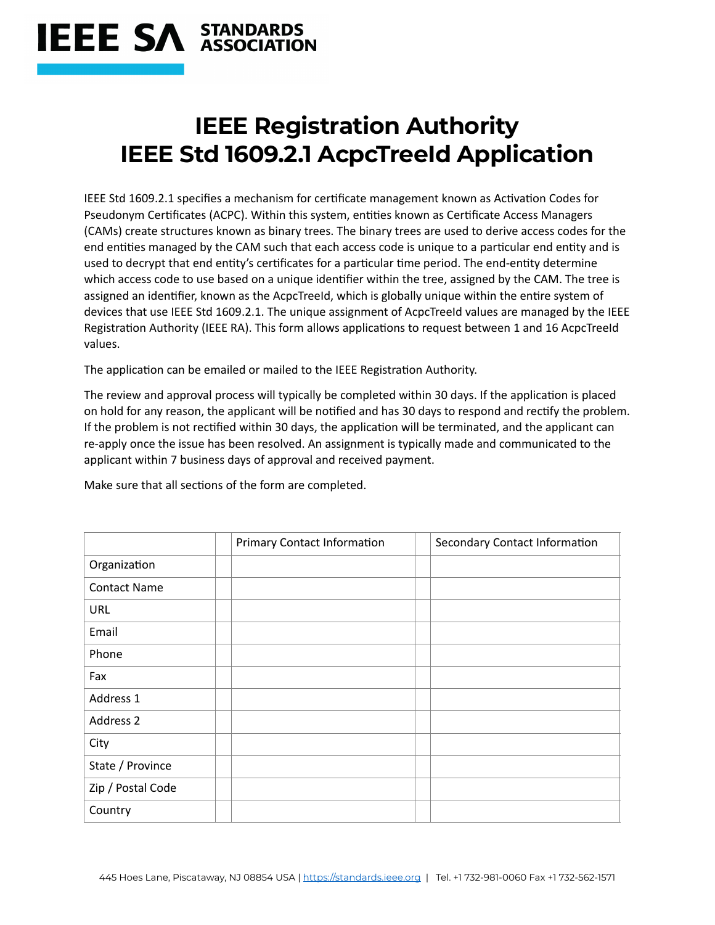## **IEEE SA STANDARDS**

## **IEEE Registration Authority IEEE Std 1609.2.1 AcpcTreeId Application**

IEEE Std 1609.2.1 specifies a mechanism for certificate management known as Activation Codes for Pseudonym Certificates (ACPC). Within this system, entities known as Certificate Access Managers (CAMs) create structures known as binary trees. The binary trees are used to derive access codes for the end entities managed by the CAM such that each access code is unique to a particular end entity and is used to decrypt that end entity's certificates for a particular time period. The end-entity determine which access code to use based on a unique identifier within the tree, assigned by the CAM. The tree is assigned an identifier, known as the AcpcTreeId, which is globally unique within the entire system of devices that use IEEE Std 1609.2.1. The unique assignment of AcpcTreeId values are managed by the IEEE Registration Authority (IEEE RA). This form allows applications to request between 1 and 16 AcpcTreeId values.

The application can be emailed or mailed to the IEEE Registration Authority.

The review and approval process will typically be completed within 30 days. If the application is placed on hold for any reason, the applicant will be notified and has 30 days to respond and rectify the problem. If the problem is not rectified within 30 days, the application will be terminated, and the applicant can re-apply once the issue has been resolved. An assignment is typically made and communicated to the applicant within 7 business days of approval and received payment.

Make sure that all sections of the form are completed.

|                     | <b>Primary Contact Information</b> | Secondary Contact Information |
|---------------------|------------------------------------|-------------------------------|
| Organization        |                                    |                               |
| <b>Contact Name</b> |                                    |                               |
| URL                 |                                    |                               |
| Email               |                                    |                               |
| Phone               |                                    |                               |
| Fax                 |                                    |                               |
| Address 1           |                                    |                               |
| Address 2           |                                    |                               |
| City                |                                    |                               |
| State / Province    |                                    |                               |
| Zip / Postal Code   |                                    |                               |
| Country             |                                    |                               |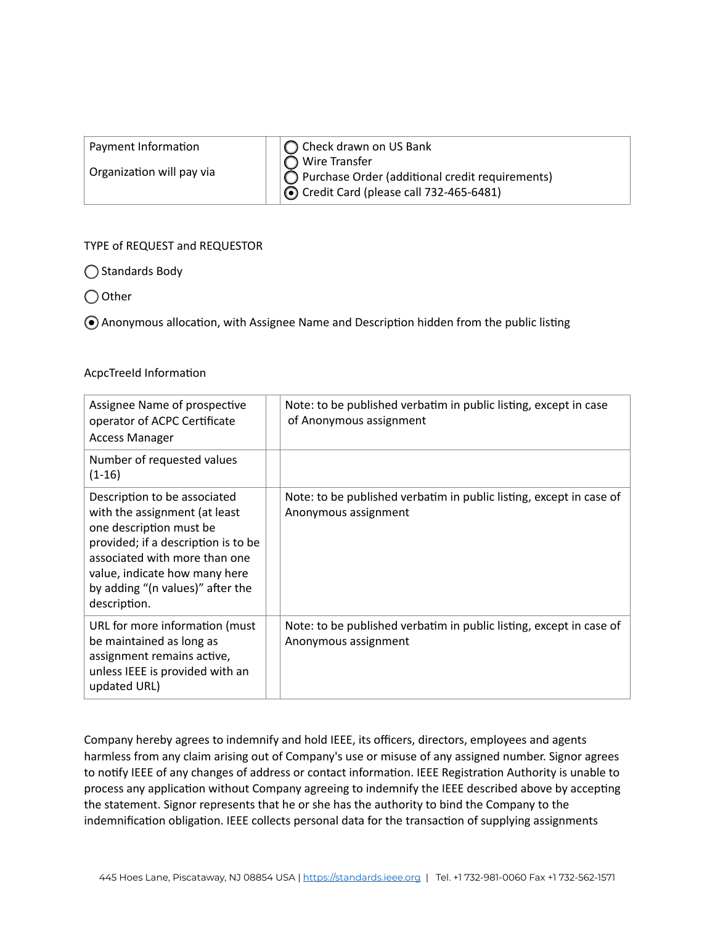| Payment Information       | ◯ Check drawn on US Bank                                                                                                     |
|---------------------------|------------------------------------------------------------------------------------------------------------------------------|
| Organization will pay via | $\bigcap$ Wire Transfer<br>Purchase Order (additional credit requirements)<br>$\odot$ Credit Card (please call 732-465-6481) |

## TYPE of REQUEST and REQUESTOR

◯ Standards Body

◯ Other

Anonymous allocation, with Assignee Name and Description hidden from the public listing

## AcpcTreeId Information

| Assignee Name of prospective<br>operator of ACPC Certificate<br><b>Access Manager</b>                                                                                                                                                                 | Note: to be published verbatim in public listing, except in case<br>of Anonymous assignment |
|-------------------------------------------------------------------------------------------------------------------------------------------------------------------------------------------------------------------------------------------------------|---------------------------------------------------------------------------------------------|
| Number of requested values<br>$(1-16)$                                                                                                                                                                                                                |                                                                                             |
| Description to be associated<br>with the assignment (at least<br>one description must be<br>provided; if a description is to be<br>associated with more than one<br>value, indicate how many here<br>by adding "(n values)" after the<br>description. | Note: to be published verbatim in public listing, except in case of<br>Anonymous assignment |
| URL for more information (must<br>be maintained as long as<br>assignment remains active,<br>unless IEEE is provided with an<br>updated URL)                                                                                                           | Note: to be published verbatim in public listing, except in case of<br>Anonymous assignment |

Company hereby agrees to indemnify and hold IEEE, its officers, directors, employees and agents harmless from any claim arising out of Company's use or misuse of any assigned number. Signor agrees to notify IEEE of any changes of address or contact information. IEEE Registration Authority is unable to process any application without Company agreeing to indemnify the IEEE described above by accepting the statement. Signor represents that he or she has the authority to bind the Company to the indemnification obligation. IEEE collects personal data for the transaction of supplying assignments